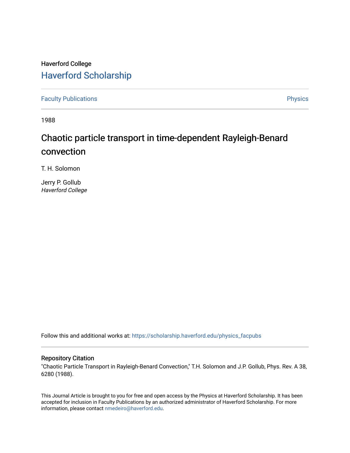# Haverford College [Haverford Scholarship](https://scholarship.haverford.edu/)

[Faculty Publications](https://scholarship.haverford.edu/physics_facpubs) **Physics** 

1988

# Chaotic particle transport in time-dependent Rayleigh-Benard convection

T. H. Solomon

Jerry P. Gollub Haverford College

Follow this and additional works at: [https://scholarship.haverford.edu/physics\\_facpubs](https://scholarship.haverford.edu/physics_facpubs?utm_source=scholarship.haverford.edu%2Fphysics_facpubs%2F67&utm_medium=PDF&utm_campaign=PDFCoverPages) 

# Repository Citation

"Chaotic Particle Transport in Rayleigh-Benard Convection," T.H. Solomon and J.P. Gollub, Phys. Rev. A 38, 6280 (1988).

This Journal Article is brought to you for free and open access by the Physics at Haverford Scholarship. It has been accepted for inclusion in Faculty Publications by an authorized administrator of Haverford Scholarship. For more information, please contact [nmedeiro@haverford.edu.](mailto:nmedeiro@haverford.edu)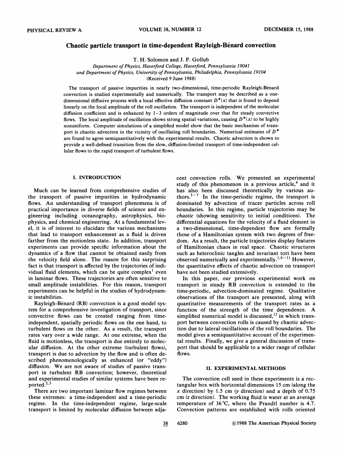#### Chaotic particle transport in time-dependent Rayleigh-Bénard convection

T. H. Solomon and J. P. Gollub

Department of Physics, Haverford College, Haverford, Pennsylvania 19041 and Department of Physics, University of Pennsylvania, Philadelphia, Pennsylvania 19104 (Received 9 June 1988)

The transport of passive impurities in nearly two-dimensional, time-periodic Rayleigh-Benard convection is studied experimentally and numerically. The transport may be described as a onedimensional diffusive process with a local effective diffusion constant  $D^*(x)$  that is found to depend linearly on the local amplitude of the roll oscillation. The transport is independent of the molecular diffusion coefficient and is enhanced by 1-3 orders of magnitude over that for steady convective flows. The local amplitude of oscillation shows strong spatial variations, causing  $D^*(x)$  to be highly nonuniform. Computer simulations of a simplified model show that the basic mechanism of transport is chaotic advection in the vicinity of oscillating roll boundaries. Numerical estimates of  $D^*$ are found to agree semiquantitatively with the experimental results. Chaotic advection is shown to provide a well-defined transition from the slow, diffusion-limited transport of time-independent cellular flows to the rapid transport of turbulent flows.

#### I. INTRODUCTION

Much can be learned from comprehensive studies of the transport of passive impurities in hydrodynamic flows. An understanding of transport phenomena is of practical importance in diverse fields of science and engineering including oceanography, astrophysics, biophysics, and chemical engineering. At a fundamental level, it is of interest to elucidate the various mechanisms that lead to transport enhancement as a fluid is driven farther from the motionless state. In addition, transport experiments can provide specific information about the dynamics of a flow that cannot be obtained easily from the velocity field alone. The reason for this surprising fact is that transport is affected by the trajectories of individual fluid elements, which can be quite complex<sup>1</sup> even in laminar flows. These trajectories are often sensitive to small amplitude instabilities. For this reason, transport experiments can be helpful in the studies of hydrodynamic instabilities.

Rayleigh-Bénard (RB) convection is a good model system for a comprehensive investigation of transport, since convective flows can be created ranging from timeindependent, spatially periodic flows on the one hand, to turbulent flows on the other. As a result, the transport rates vary over a wide range. At one extreme, when the fluid is motionless, the transport is due entirely to molecular diffusion. At the other extreme (turbulent flows), transport is due to advection by the flow and is often described phenomenologically as enhanced (or "eddy") diffusion. We are not aware of studies of passive transport in turbulent RB convection; however, theoretical and experimental studies of similar systems have been reported. $2,3$ 

There are two important laminar flow regimes between these extremes: a time-independent and a time-periodic regime. In the time-independent regime, large-scale transport is limited by molecular diffusion between adjacent convection rolls. We presented an experimental study of this phenomenon in a previous article,<sup>4</sup> and it has also been discussed theoretically by various authors.<sup>5–7</sup> In the time-periodic regime, the transport is dominated by advection of tracer particles across roll boundaries. In this regime, particle trajectories may be chaotic (showing sensitivity to initial conditions). The differential equations for the velocity of a fluid element in a two-dimensional, time-dependent flow are formally those of a Hamiltonian system with two degrees of freedom. As a result, the particle trajectories display features of Hamiltonian chaos in real space. Chaotic structures such as heteroclinic tangles and invariant tori have beer such as heteroclinic tangles and invariant tori have bee<br>observed numerically and experimentally.<sup>1,8-11</sup> However, the quantitative effects of chaotic advection on transport have not been studied extensively.

In this paper, our previous experimental work on transport in steady RB convection is extended to the time-periodic, advection-dominated regime. Qualitative observations of the transport are presented, along with quantitative measurements of the transport rates as a function of the strength of the time dependence. A simplified numerical model is discussed,  $12$  in which trans port between convection rolls is caused by chaotic advection due to lateral oscillations of the roll boundaries. The model gives a semiquantitative account of the experimental results. Finally, we give a general discussion of transport that should be applicable to a wider range of cellular flows.

#### II. EXPERIMENTAL METHODS

The convection cell used in these experiments is a rectangular box with horizontal dimensions 15 cm (along the x direction) by 1.5 cm ( $\nu$  direction) and a depth of 0.75 cm (z direction). The working fluid is water at an average temperature of 36 °C, where the Prandtl number is 4.7. Convection patterns are established with rolls oriented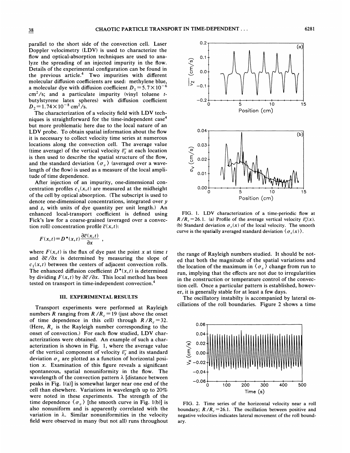parallel to the short side of the convection cell. Laser Doppler velocimetry (LDV) is used to characterize the flow and optical-absorption techniques are used to analyze the spreading of an injected impurity in the flow. Details of the experimental configuration can be found in the previous article.<sup>4</sup> Two impurities with different molecular diffusion coefficients are used: methylene blue, a molecular dye with diffusion coefficient  $D_1 = 5.7 \times 10^{-6}$  $cm<sup>2</sup>/s$ ; and a particulate impurity (vinyl toluene tbutylstyrene latex spheres) with diffusion coefficient  $D_2$  = 1.74 × 10<sup>-8</sup> cm<sup>2</sup>/s.

The characterization of a velocity field with LDV techniques is straightforward for the time-independent case but more problematic here due to the local nature of an LDV probe. To obtain spatial information about the flow it is necessary to collect velocity time series at numerous locations along the convection cell. The average value (time average) of the vertical velocity  $\overline{v_2}$  at each location is then used to describe the spatial structure of the flow, and the standard deviation  $\langle \sigma_v \rangle$  (averaged over a wavelength of the flow) is used as a measure of the local amplitude of time dependence.

After injection of an impurity, one-dimensional concentration profiles  $c_1(x, t)$  are measured at the midheight of the cell by optical absorption. (The subscript is used to denote one-dimensional concentrations, integrated over y and z, with units of dye quantity per unit length.) An enhanced local-transport coefficient is defined using Fick's law for a coarse-grained (averaged over a convection roll) concentration profile  $\overline{c}(x,t)$ :

$$
F(x,t)=D^*(x,t)\frac{\partial \overline{c}(x,t)}{\partial x},
$$

where  $F(x, t)$  is the flux of dye past the point x at time t and  $\frac{\partial \overline{c}}{\partial x}$  is determined by measuring the slope of  $c_1(x, t)$  between the centers of adjacent convection rolls. The enhanced diffusion coefficient  $D^*(x,t)$  is determined by dividing  $F(x,t)$  by  $\frac{\partial \overline{c}}{\partial x}$ . This local method has been tested on transport in time-independent convection.<sup>4</sup>

## III. EXPERIMENTAL RESULTS

Transport experiments were performed at Rayleigh numbers R ranging from  $R/R_c = 19$  (just above the onset of time dependence in this cell) through  $R/R<sub>c</sub> = 32$ . (Here,  $R_c$  is the Rayleigh number corresponding to the onset of convection.) For each flow studied, LDV characterizations were obtained. An example of such a characterization is shown in Fig. 1, where the average value of the vertical component of velocity  $\overline{v_7}$  and its standard deviation  $\sigma_v$  are plotted as a function of horizontal position x. Examination of this figure reveals a significant spontaneous, spatial nonuniformity in the flow. The wavelength of the convection pattern  $\lambda$  [distance between peaks in Fig. 1(a)] is somewhat larger near one end of the cell than elsewhere. Variations in wavelength up to 20% were noted in these experiments. The strength of the time dependence  $\langle \sigma_{v} \rangle$  [the smooth curve in Fig. 1(b)] is also nonuniform and is apparently correlated with the variation in  $\lambda$ . Similar nonuniformities in the velocity field were observed in many (but not all) runs throughout



FIG. 1. LDV characterization of a time-periodic flow at  $R/R<sub>c</sub>=26.1$ . (a) Profile of the average vertical velocity  $\bar{v}_{c}(x)$ . (b) Standard deviation  $\sigma_n(x)$  of the local velocity. The smooth curve is the spatially averaged standard deviation  $\langle \sigma_{n}(x) \rangle$ .

the range of Rayleigh numbers studied. It should be noted that both the magnitude of the spatial variations and the location of the maximum in  $\langle \sigma_{v} \rangle$  change from run to run, implying that the effects are not due to irregularities in the construction or temperature control of the convection cell. Once a particular pattern is established, however, it is generally stable for at least a few days.

The oscillatory instabilty is accompanied by lateral oscillations of the roll boundaries. Figure 2 shows a time



FIG. 2. Time series of the horizontal velocity near a roll boundary;  $R/R_c = 26.1$ . The oscillation between positive and negative velocities indicates lateral movement of the roll boundary.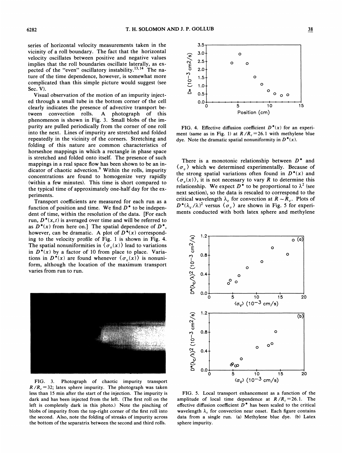series of horizontal velocity measurements taken in the vicinity of a roll boundary. The fact that the horizontal velocity oscillates between positive and negative values implies that the roll boundaries oscillate laterally, as eximplies that the roll boundaries oscillate laterally, as expected of the "even" oscillatory instability.<sup>13,14</sup> The nature of the time dependence, however, is somewhat more complicated than this simple picture would suggest (see Sec. V).

Visual observation of the motion of an impurity injected through a small tube in the bottom corner of the cell clearly indicates the presence of advective transport between convection rolls. A photograph of this phenomenon is shown in Fig. 3. Small blobs of the impurity are pulled periodically from the corner of one roll into the next. Lines of impurity are stretched and folded repeatedly in the vicinity of the corners. Stretching and folding of this nature are common characteristics of horseshoe mappings in which a rectangle in phase space is stretched and folded onto itself. The presence of such mappings in a real space flow has been shown to be an indicator of chaotic advection.<sup>9</sup> Within the rolls, impurity concentrations are found to homogenize very rapidly (within a few minutes). This time is short compared to the typical time of approximately one-half day for the experiments.

Transport coefficients are measured for each run as a function of position and time. We find  $D^*$  to be independent of time, within the resolution of the data. [For each run,  $D^*(x, t)$  is averaged over time and will be referred to as  $D^*(x)$  from here on.] The spatial dependence of  $D^*$ , however, can be dramatic. A plot of  $D^*(x)$  corresponding to the velocity profile of Fig. <sup>1</sup> is shown in Fig. 4. The spatial nonuniformities in  $\langle \sigma_{v}(x) \rangle$  lead to variations in  $D^*(x)$  by a factor of 10 from place to place. Variations in  $D^*(x)$  are found whenever  $\langle \sigma_n(x) \rangle$  is nonuniform, although the location of the maximum transport varies from run to run.



FIG. 3. Photograph of chaotic impurity transport  $R/R_c = 32$ ; latex sphere impurity. The photograph was taken less than 15 min after the start of the injection. The impurity is dark and has been injected from the left. {The first roll on the left is completely dark in this photo.) Note the pinching of blobs of impurity from the top-right corner of the first roll into the second. Also, note the folding of streaks of impurity across the bottom of the separatrix between the second and third rolls.



FIG. 4. Effective diffusion coefficient  $D^*(x)$  for an experiment (same as in Fig. 1) at  $R/R_c = 26.1$  with methylene blue dye. Note the dramatic spatial nonuniformity in  $D^*(x)$ .

There is a monotonic relationship between  $D^*$  and  $(\sigma_v)$  which we determined experimentally. Because of the strong spatial variations often found in  $D^*(x)$  and  $\langle \sigma_{n}(x) \rangle$ , it is not necessary to vary R to determine this relationship. We expect  $D^*$  to be proportional to  $\lambda^2$  (see next section), so the data is rescaled to correspond to the critical wavelength  $\lambda_c$  for convection at  $R \sim R_c$ . Plots of  $D^*(\lambda_c/\lambda)^2$  versus  $\langle \sigma_v \rangle$  are shown in Fig. 5 for experiments conducted with both latex sphere and methylene



FIG. 5. Local transport enhancement as a function of the amplitude of local time dependence at  $R/R<sub>c</sub> = 26.1$ . The effective diffusion coefficient  $D^*$  has been scaled to the critical wavelength  $\lambda_c$  for convection near onset. Each figure contain data from a single run. (a) Methylene blue dye. (b) Latex sphere impurity.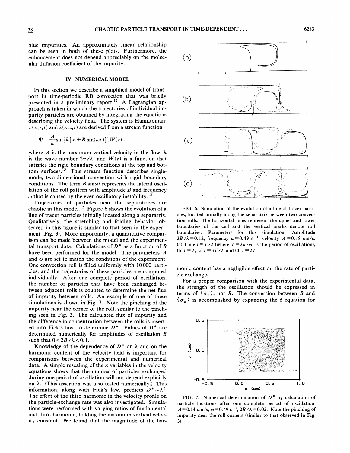blue impurities. An approximately linear relationship can be seen in both of these plots. Furthermore, the enhancement does not depend appreciably on the molecular diffusion coefficient of the impurity.

## IV. NUMERICAL MODEL

In this section we describe a simplified model of transport in time-periodic RB convection that was briefly presented in a preliminary report.<sup>12</sup> A Lagrangian approach is taken in which the trajectories of individual impurity particles are obtained by integrating the equations describing the velocity field. The system is Hamiltonian:  $\dot{x}(x, z, t)$  and  $\dot{z}(x, z, t)$  are derived from a stream function

$$
\Psi = \frac{A}{k} \sin\{k[x + B \sin(\omega t)]\} W(z) ,
$$

where  $\vec{A}$  is the maximum vertical velocity in the flow,  $\vec{k}$ is the wave number  $2\pi/\lambda$ , and  $W(z)$  is a function that satisfies the rigid boundary conditions at the top and bottom surfaces.<sup>15</sup> This stream function describes singlemode, two-dimensional convection with rigid boundary conditions. The term  $B \sin \omega t$  represents the lateral oscillation of the roll pattern with amplitude  $B$  and frequency  $\omega$  that is caused by the even oscillatory instability.<sup>13</sup>

Trajectories of particles near the separatrices are chaotic in this model.<sup>12</sup> Figure 6 shows the evolution of a line of tracer particles initially located along a separatrix. Qualitatively, the stretching and folding behavior observed in this figure is similar to that seen in the experiment (Fig. 3). More importantly, a quantitative comparison can be made between the model and the experimental transport data. Calculations of  $D^*$  as a function of B have been performed for the model. The parameters A and  $\omega$  are set to match the conditions of the experiment. One convection roll is filled uniformly with 10000 particles, and the trajectories of these particles are computed individually. After one complete period of oscillation, the number of particles that have been exchanged between adjacent rolls is counted to determine the net flux of impurity between rolls. An example of one of these simulations is shown in Fig. 7. Note the pinching of the impurity near the corner of the roll, similar to the pinching seen in Fig. 3. The calculated flux of impurity and the difference in concentration between the rolls is inserted into Fick's law to determine  $D^*$ . Values of  $D^*$  are determined numerically for amplitudes of oscillation B such that  $0 < 2B/\lambda < 0.1$ .

Knowledge of the dependence of  $D^*$  on  $\lambda$  and on the harmonic content of the velocity field is important for comparisons between the experimental and numerical data. A simple rescaling of the  $x$  variables in the velocity equations shows that the number of particles exchanged during one period of oscillation will not depend explicitly on  $\lambda$ . (This assertion was also tested numerically.) This information, along with Fick's law, predicts  $D^* \sim \lambda^2$ . The effect of the third harmonic in the velocity profile on the particle-exchange rate was also investigated. Simulations were performed with varying ratios of fundamental and third harmonic, holding the maximum vertical velocity constant. We found that the magnitude of the har-



FIG. 6. Simulation of the evolution of a line of tracer particles, located initially along the separatrix between two convection rolls. The horizontal lines represent the upper and lower boundaries of the cell and the vertical marks denote roll boundaries. Parameters for this simulation: Amplitude  $2B/\lambda = 0.12$ , frequency  $\omega = 0.49 \text{ s}^{-1}$ , velocity  $A = 0.18 \text{ cm/s}$ . (a) Time  $t = T/2$  (where  $T = 2\pi/\omega$ ) is the period of oscillation), (b)  $t = T$ , (c)  $t = 3T/2$ , and (d)  $t = 2T$ .

monic content has a negligible effect on the rate of particle exchange.

For a proper comparison with the experimental data, the strength of the oscillation should be expressed in terms of  $\langle \sigma_v \rangle$ , not *B*. The conversion between *B* and  $\langle \sigma_v \rangle$  is accomplished by expanding the *i* equation for



FIG. 7. Numerical determination of  $D^*$  by calculation of particle locations after one complete period of oscillation:  $A = 0.14$  cm/s,  $\omega = 0.49$  s<sup>-1</sup>,  $2B/\lambda = 0.02$ . Note the pinching of impurity near the roll corners (similar to that observed in Fig. 3).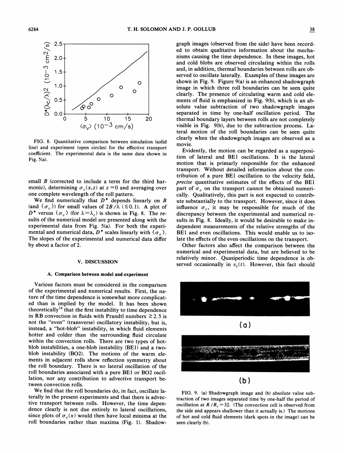

FIG. 8. Quantitative comparison between simulation (solid line) and experiment (open circles) for the effective transport coefficient. The experimental data is the same data shown in Fig. 5(a).

small  $B$  (corrected to include a term for the third harmonic), determining  $\sigma_y(x,z)$  at  $z=0$  and averaging over one complete wavelength of the roll pattern.

We find numerically that  $D^*$  depends linearly on B (and  $\langle \sigma_n \rangle$ ) for small values of  $2B/\lambda$  ( $\leq 0.1$ ). A plot of (and  $\langle \sigma_v \rangle$ ) for small values of  $2B/\lambda$  ( $\leq 0.1$ ). A plot of  $D^*$  versus  $\langle \sigma_v \rangle$  (for  $\lambda = \lambda_c$ ) is shown in Fig. 8. The results of the numerical model are presented along with the experimental data from Fig. 5(a). For both the experimental and numerical data,  $D^*$  scales linearly with  $\langle \sigma_n \rangle$ . The slopes of the experimental and numerical data differ by about a factor of 2.

#### V. DISCUSSION

#### A. Comparison between model and experiment

Various factors must be considered in the comparison of the experimental and numerical results. First, the nature of the time dependence is somewhat more complicated than is implied by the model. It has been shown theoretically<sup>14</sup> that the first instability to time dependence in RB convection in fluids with Prandtl numbers  $\ge 2.5$  is not the "even" (transverse) oscillatory instability, but is, instead, a "hot-blob" instability, in which fluid elements hotter and colder than the surrounding fluid circulate within the convection rolls. There are two types of hotblob instabilities, a one-blob instability (BE1) and a twoblob instability (B02). The motions of the warm elements in adjacent rolls show reflection symmetry about the roll boundary. There is no lateral oscillation of the roll boundaries associated with a pure BE1 or BO2 oscillation, nor any contribution to advective transport between convection rolls.

We find that the roll boundaries do, in fact, oscillate laterally in the present experiments and that there is advective transport between rolls. However, the time dependence clearly is not due entirely to lateral oscillations, since plots of  $\sigma_{n}(x)$  would then have local minima at the roll boundaries rather than maxima (Fig. 1). Shadowgraph images (observed from the side) have been recorded to obtain qualitative information about the mechanisms causing the time dependence. In these images, hot and cold blobs are observed circulating within the rolls and, in addition, thermal boundaries between rolls are observed to oscillate laterally. Examples of these images are shown in Fig. 9. Figure 9(a) is an enhanced shadowgraph image in which three roll boundaries can be seen quite clearly. The presence of circulating warm and cold elements of fluid is emphasized in Fig. 9(b), which is an absolute value subtraction of two shadowgraph images separated in time by one-half oscillation period. The thermal boundary layers between rolls are not completely visible in Fig. 9(b), due to the subtraction process. Lateral motion of the roll boundaries can be seen quite clearly when the shadowgraph images are observed as a movie.

Evidently, the motion can be regarded as a superposition of lateral and BE1 oscillations. It is the lateral motion that is primarly responsible for the enhanced transport. Without detailed information about the contribution of a pure BE1 oscillation to the velocity field, precise quantitative estimates of the effects of the BE1 part of  $\sigma_v$  on the transport cannot be obtained numer cally. Qualitatively, this part is not expected to contribute substantially to the transport. However, since it does influence  $\sigma_v$ , it may be responsible for much of the discrepancy between the experimental and numerical results in Fig. 8. Ideally, it would be desirable to make independent measurements of the relative strengths of the BE1 and even oscillations. This would enable us to isolate the effects of the even oscillations on the transport.

Other factors also affect the comparison between the numerical and experimental data, but are believed to be relatively minor. Quasiperiodic time dependence is observed occasionally in  $v_z(t)$ . However, this fact should



FIG. 9. (a) Shadowgraph image and (b) absolute value subtraction of two images separated time by one-half the period of oscillation at  $R/R_c = 32$ . (The convection cell is observed from the side and appears shallower than it actually is.) The motions of hot and cold fluid elements (dark spots in the image) can be seen clearly (b).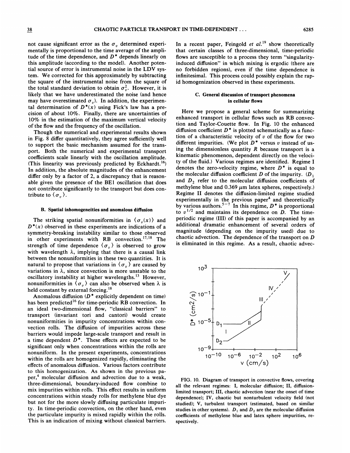not cause significant error as the  $\sigma_{v}$  determined experimentally is proportional to the time average of the amplitude of the time dependence, and  $D^*$  depends linearly on this amplitude (according to the model). Another potential source of error is instrumental noise in the LDV system. We corrected for this approximately by subtracting the square of the instrumental noise from the square of the total standard deviation to obtain  $\sigma_v^2$ . However, it is likely that we have underestimated the noise (and hence may have overestimated  $\sigma_v$ ). In addition, the experimental determination of  $D^*(x)$  using Fick's law has a precision of about  $10\%$ . Finally, there are uncertainties of 10% in the estimation of the maximum vertical velocity of the flow and the frequency of the oscillation.

Though the numerical and experimental results shown in Fig. 8 differ quantitatively, they agree sufficiently well to support the basic mechanism assumed for the transport. Both the numerical and experimental transport coefficients scale linearly with the oscillation amplitude. (This linearity was previously predicted by Eckhardt.<sup>16</sup>) In addition, the absolute magnitudes of the enhancement differ only by a factor of 2, a discrepancy that is reasonable given the presence of the BE1 oscillation that does not contribute significantly to the transport but does contribute to  $\langle \sigma_{n} \rangle$ .

#### B. Spatial inhomogeneities and anomalous difFusion

The striking spatial nonuniformities in  $\langle \sigma_n(x) \rangle$  and  $D^*(x)$  observed in these experiments are indications of a symmetry-breaking instability similar to those observed symmetry-breaking instability similar to those observed<br>in other experiments with RB convection.<sup>17,18</sup> The<br>strength of time dependence  $\langle \sigma_v \rangle$  is observed to grow<br>with wouslangth a implying that there is a sexual link with wavelength  $\lambda$ , implying that there is a causal link between the nonuniformities in these two quantities. It is natural to propose that variations in  $\langle \sigma_{v} \rangle$  are caused by variations in  $\lambda$ , since convection is more unstable to the oscillatory instability at higher wavelengths.<sup>13</sup> However, nonuniformities in  $\langle \sigma_{\nu} \rangle$  can also be observed when  $\lambda$  is held constant by external forcing.<sup>18</sup>

Anomalous diffusion  $(D^*$  explicitly dependent on time) has been predicted<sup>16</sup> for time-periodic RB convection. In an ideal two-dimensional flow, "classical barriers" to transport (invariant tori and cantori) would create nonuniformities in impurity concentrations within convection rolls. The diffusion of impurities across these barriers would impede large-scale transport and result in a time dependent  $D^*$ . These effects are expected to be significant only when concentrations within the rolls are nonuniform. In the present experiments, concentrations within the rolls are homogenized rapidly, eliminating the effects of anomalous diffusion. Various factors contribute to this homogenization. As shown in the previous paper, $4$  molecular diffusion and advection due to a weak, three-dimensional, boundary-induced flow combine to mix impurities within rolls. This effect results in uniform concentrations within steady rolls for methylene blue dye but not for the more slowly diffusing particulate impurity. In time-periodic convection, on the other hand, even the particulate impurity is mixed rapidly within the rolls. This is an indication of mixing without classical barriers.

In a recent paper, Feingold et  $al$ <sup>19</sup> show theoretical that certain classes of three-dimensional, time-periodic flows are susceptible to a process they term "singularityinduced diffusion" in which mixing is ergodic (there are no forbidden regions), even if the time dependence is infinitesimal. This process could possibly explain the rapid homogenization observed in these experiments.

## C. General discussion of transport phenomena in cellular flows

Here we propose a general scheme for summarizing enhanced transport in cellular flows such as RB convection and Taylor-Couette flow. In Fig. 10 the enhanced diffusion coefficient  $D^*$  is plotted schematically as a function of a characteristic velocity of  $v$  of the flow for two different impurities. (We plot  $D^*$  versus v instead of using the dimensionless quantity  $R$  because transport is a kinematic phenomenon, dependent directly on the velocity of the fluid.) Various regimes are identified. Regime I denotes the zero-velocity regime, where  $D^*$  is equal to the molecular diffusion coefficient  $D$  of the impurity.  $(D_1)$ and  $D_2$  refer to the molecular diffusion coefficients of methylene blue and 0.369  $\mu$ m latex spheres, respectively.) Regime II denotes the diffusion-limited regime studied experimentally in the previous paper<sup>4</sup> and theoreticall<br>by various authors.<sup>5-7</sup> In this regime, D<sup>\*</sup> is proportion. to  $v^{1/2}$  and maintains its dependence on D. The timeperiodic regime (III) of this paper is accompanied by an additional dramatic enhancement of several orders of magnitude (depending on the impurity used) due to chaotic advection. The dependence of the transport on D is eliminated in this regime. As a result, chaotic advec-



FIG. 10. Diagram of transport in convective flows, covering all the relevant regimes: I, molecular diffusion; II, diffusionlimited transport; III, chaotic advection (near the onset of time dependence); IV, chaotic but nonturbulent velocity field (not studied); V, turbulent transport (estimated, based on similar studies in other systems).  $D_1$  and  $D_2$  are the molecular diffusion coefficients of methylene blue and latex sphere impurities, respectively.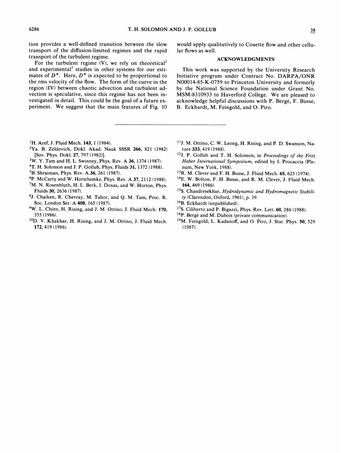tion provides a well-defined transition between the slow transport of the diffusion-limited regimes and the rapid transport of the turbulent regime.

For the turbulent regime  $(V)$ , we rely on theoretical<sup>2</sup> and experimental<sup>3</sup> studies in other systems for our estimates of  $D^*$ . Here,  $D^*$  is expected to be proportional to the rms velocity of the flow. The form of the curve in the region (IV) between chaotic advection and turbulent advection is speculative, since this regime has not been investigated in detail. This could be the goal of a future experiment. We suggest that the main features of Fig. 10

would apply qualitatively to Couette flow and other cellular flows as well.

#### ACKNOWLEDGMENTS

This work was supported. by the University Research Initiative program under Contract No. DARPA/ONR N00014-85-K-0759 to Princeton University and formerly by the National Science Foundation under Grant No. MSM-8310933 to Haverford College. We are pleased to acknowledge helpful discussions with P. Berge, F. Busse, B. Eckhardt, M. Feingold, and O. Piro.

- <sup>1</sup>H. Aref, J. Fluid Mech. 143, 1 (1984).
- $2Ya. B. Zeldovich, Dokl. Akad. Nauk SSSR 266, 821 (1982)$ [Sov. Phys. Dokl. 27, 797 (1982)].
- W. Y. Tam and H. L. Swinney, Phys. Rev. A 36, 1374 (1987).
- 4T. H. Solomon and J. P. Gollub, Phys. Fluids 31, 1372 (1988).
- 58. Shraiman, Phys. Rev. A 36, 261 (1987).
- P. McCarty and W. Horsthemke, Phys. Rev. A 37, 2112 (1988).
- 7M. N. Rosenbluth, H. L. Berk, I. Doxas, and W. Horton, Phys. Fluids 30, 2636 (1987).
- <sup>8</sup>J. Chaiken, R. Chevray, M. Tabor, and Q. M. Tam, Proc. R. Soc. London Ser. A 408, 165 (1987).
- $9W$ . L. Chien, H. Rising, and J. M. Ottino, J. Fluid Mech. 170, 355 (1986).
- <sup>10</sup>D. V. Khakhar, H. Rising, and J. M. Ottino, J. Fluid Mech 172, 419 (1986).
- $<sup>11</sup>$ J. M. Ottino, C. W. Leong, H. Rising, and P. D. Swanson, Na-</sup> ture 333, 419 (1988).
- <sup>12</sup>J. P. Gollub and T. H. Solomon, in Proceedings of the Fritz Haber International Symposium, edited by I. Procaccia (Plenum, New York, 1988).
- $^{13}R$ . M. Clever and F. H. Busse, J. Fluid Mech. 65, 625 (1974).
- <sup>14</sup>E. W. Bolton, F. H. Busse, and R. M. Clever, J. Fluid Mech. 164, 469 (1986).
- <sup>15</sup>S. Chandresekhar, Hydrodynamic and Hydromagnetic Stabili $ty$  (Clarendon, Oxford, 1961), p. 39.
- <sup>16</sup>B. Eckhardt (unpublished
- <sup>17</sup>S. Ciliberto and P. Bigazzi, Phys. Rev. Lett. 60, 286 (1988).
- $^{18}P$ . Bergé and M. Dubois (private communication
- <sup>19</sup>M. Feingold, L. Kadanoff, and O. Piro, J. Stat. Phys. 50, 529 (1987).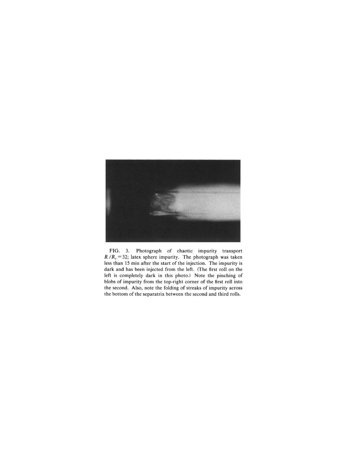

FIG. 3. Photograph of chaotic impurity transport  $R/R_c$  = 32; latex sphere impurity. The photograph was taken less than 15 min after the start of the injection. The impurity is dark and has been injected from the left. (The first roll on the left is completely dark in this photo.) Note the pinching of blobs of impurity from the top-right corner of the first roll into the second. Also, note the folding of streaks of impurity across the bottom of the separatrix between the second and third rolls.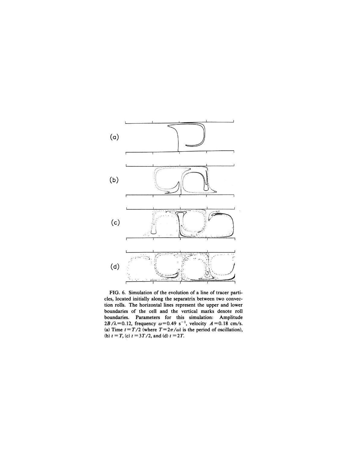

FIG. 6. Simulation of the evolution of a line of tracer particles, located initially along the separatrix between two convection rolls. The horizontal lines represent the upper and lower boundaries of the cell and the vertical marks denote roll boundaries. Parameters for this simulation: Amplitude  $2B/\lambda = 0.12$ , frequency  $\omega = 0.49 \text{ s}^{-1}$ , velocity  $A = 0.18 \text{ cm/s}$ . (a) Time  $t = T/2$  (where  $T = 2\pi/\omega$ ) is the period of oscillation), (b)  $t = T$ , (c)  $t = 3T/2$ , and (d)  $t = 2T$ .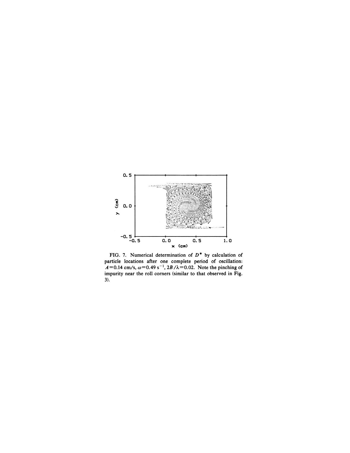

FIG. 7. Numerical determination of  $D^*$  by calculation of particle locations after one complete period of oscillation:<br> $A=0.14$  cm/s,  $\omega$ =0.49 s<sup>-1</sup>, 2B/ $\lambda$ =0.02. Note the pinching of impurity near the roll corners (similar to that observed in Fig.  $3).$